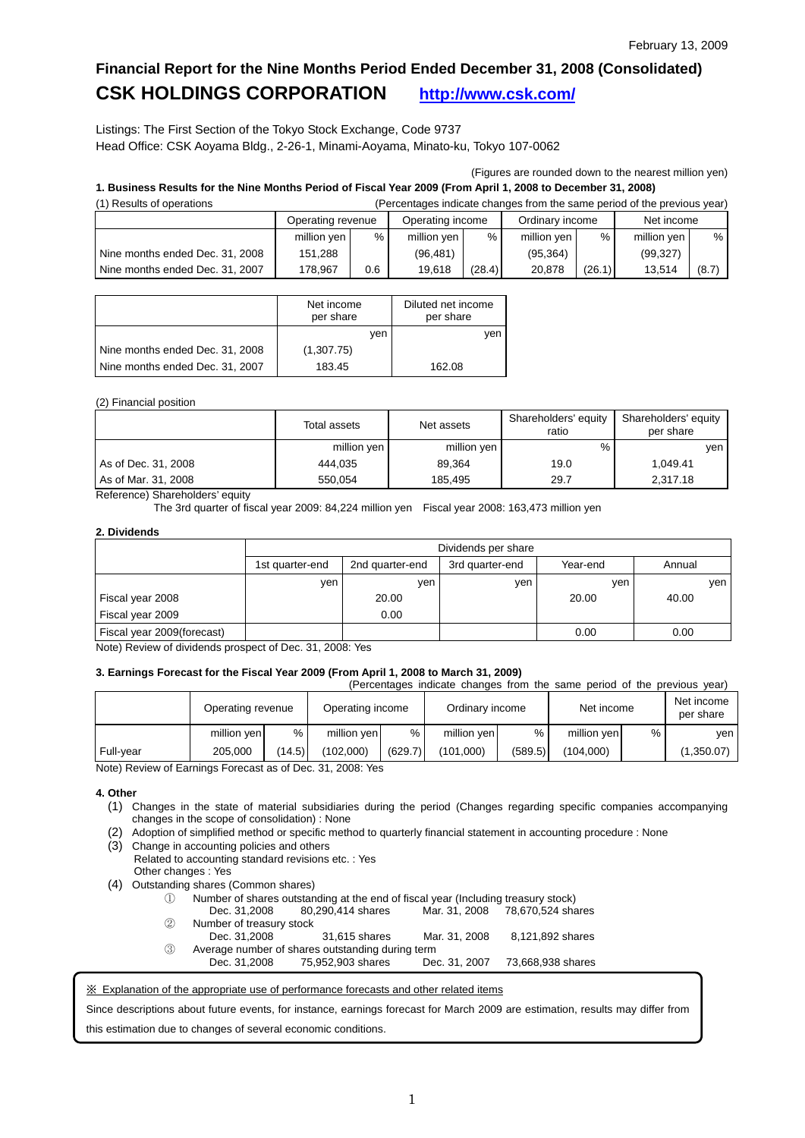## **Financial Report for the Nine Months Period Ended December 31, 2008 (Consolidated) CSK HOLDINGS CORPORATION <http://www.csk.com/>**

Listings: The First Section of the Tokyo Stock Exchange, Code 9737 Head Office: CSK Aoyama Bldg., 2-26-1, Minami-Aoyama, Minato-ku, Tokyo 107-0062

(Figures are rounded down to the nearest million yen)

### **1. Business Results for the Nine Months Period of Fiscal Year 2009 (From April 1, 2008 to December 31, 2008)**

| (1) Results of operations       | (Percentages indicate changes from the same period of the previous year) |      |                  |                 |             |            |             |       |
|---------------------------------|--------------------------------------------------------------------------|------|------------------|-----------------|-------------|------------|-------------|-------|
|                                 | Operating revenue                                                        |      | Operating income | Ordinary income |             | Net income |             |       |
|                                 | million yen                                                              | $\%$ | million yen      | $\%$            | million yen | %          | million yen | %     |
| Nine months ended Dec. 31, 2008 | 151.288                                                                  |      | (96.481)         |                 | (95.364)    |            | (99, 327)   |       |
| Nine months ended Dec. 31, 2007 | 178.967                                                                  | 0.6  | 19.618           | (28.4)          | 20.878      | (26.1)     | 13.514      | (8.7) |

|                                 | Net income<br>per share |     | Diluted net income<br>per share |
|---------------------------------|-------------------------|-----|---------------------------------|
|                                 |                         | ven | ven                             |
| Nine months ended Dec. 31, 2008 | (1,307.75)              |     |                                 |
| Nine months ended Dec. 31, 2007 | 183.45                  |     | 162.08                          |

### (2) Financial position

|                     | Total assets | Net assets  | Shareholders' equity<br>ratio | Shareholders' equity<br>per share |  |
|---------------------|--------------|-------------|-------------------------------|-----------------------------------|--|
|                     | million yen  | million yen | %                             | ven                               |  |
| As of Dec. 31, 2008 | 444.035      | 89.364      | 19.0                          | 1.049.41                          |  |
| As of Mar. 31, 2008 | 550.054      | 185.495     | 29.7                          | 2,317.18                          |  |

Reference) Shareholders' equity

The 3rd quarter of fiscal year 2009: 84,224 million yen Fiscal year 2008: 163,473 million yen

### **2. Dividends**

|                            |                 | Dividends per share |                 |          |        |  |  |  |
|----------------------------|-----------------|---------------------|-----------------|----------|--------|--|--|--|
|                            | 1st quarter-end | 2nd quarter-end     | 3rd quarter-end | Year-end | Annual |  |  |  |
|                            | ven             | yen                 | ven             | ven      | ven    |  |  |  |
| Fiscal year 2008           |                 | 20.00               |                 | 20.00    | 40.00  |  |  |  |
| Fiscal year 2009           |                 | 0.00                |                 |          |        |  |  |  |
| Fiscal year 2009(forecast) |                 |                     |                 | 0.00     | 0.00   |  |  |  |

Note) Review of dividends prospect of Dec. 31, 2008: Yes

#### **3. Earnings Forecast for the Fiscal Year 2009 (From April 1, 2008 to March 31, 2009)**  (Percentages indicate changes from the same period of the previous year)

|           |                   |        |                  |         | reluctingues indicate changes from the same period of the previous year) |         |             |   |                         |
|-----------|-------------------|--------|------------------|---------|--------------------------------------------------------------------------|---------|-------------|---|-------------------------|
|           | Operating revenue |        | Operating income |         | Ordinary income                                                          |         | Net income  |   | Net income<br>per share |
|           | million yen       | %      | million ven      | %       | million yen                                                              | %       | million yen | % | ven                     |
| Full-year | 205.000           | (14.5) | (102.000)        | (629.7) | (101.000)                                                                | (589.5) | (104.000)   |   | (1,350.07)              |

Note) Review of Earnings Forecast as of Dec. 31, 2008: Yes

### **4. Other**

- (1) Changes in the state of material subsidiaries during the period (Changes regarding specific companies accompanying changes in the scope of consolidation) : None
- (2) Adoption of simplified method or specific method to quarterly financial statement in accounting procedure : None
- (3) Change in accounting policies and others Related to accounting standard revisions etc. : Yes Other changes : Yes
- (4) Outstanding shares (Common shares)
	- ① Number of shares outstanding at the end of fiscal year (Including treasury stock)
	- 80,290,414 shares ② Number of treasury stock
	- Dec. 31,2008 31,615 shares Mar. 31, 2008 8,121,892 shares ③ Average number of shares outstanding during term Dec. 31,2008 75,952,903 shares Dec. 31, 2007 73,668,938 shares

※ Explanation of the appropriate use of performance forecasts and other related items

Since descriptions about future events, for instance, earnings forecast for March 2009 are estimation, results may differ from this estimation due to changes of several economic conditions.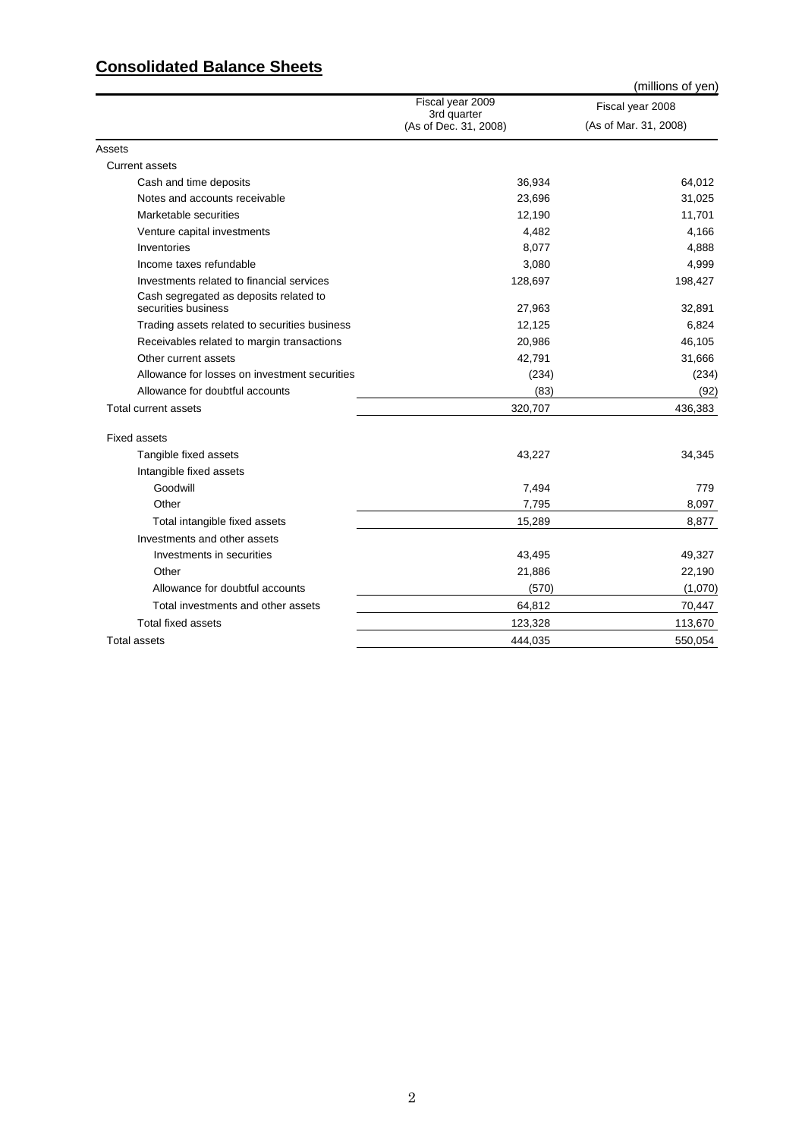### **Consolidated Balance Sheets**

|                                               |                                      | (millions of yen)     |
|-----------------------------------------------|--------------------------------------|-----------------------|
|                                               | Fiscal year 2009                     | Fiscal year 2008      |
|                                               | 3rd quarter<br>(As of Dec. 31, 2008) | (As of Mar. 31, 2008) |
| Assets                                        |                                      |                       |
| <b>Current assets</b>                         |                                      |                       |
| Cash and time deposits                        | 36,934                               | 64,012                |
| Notes and accounts receivable                 | 23,696                               | 31,025                |
| Marketable securities                         | 12,190                               | 11,701                |
| Venture capital investments                   | 4,482                                | 4,166                 |
| Inventories                                   | 8,077                                | 4,888                 |
| Income taxes refundable                       | 3,080                                | 4,999                 |
| Investments related to financial services     | 128,697                              | 198,427               |
| Cash segregated as deposits related to        |                                      |                       |
| securities business                           | 27,963                               | 32,891                |
| Trading assets related to securities business | 12,125                               | 6,824                 |
| Receivables related to margin transactions    | 20,986                               | 46,105                |
| Other current assets                          | 42,791                               | 31,666                |
| Allowance for losses on investment securities | (234)                                | (234)                 |
| Allowance for doubtful accounts               | (83)                                 | (92)                  |
| Total current assets                          | 320,707                              | 436,383               |
| <b>Fixed assets</b>                           |                                      |                       |
| Tangible fixed assets                         | 43,227                               | 34,345                |
| Intangible fixed assets                       |                                      |                       |
| Goodwill                                      | 7,494                                | 779                   |
| Other                                         | 7,795                                | 8,097                 |
| Total intangible fixed assets                 | 15,289                               | 8,877                 |
| Investments and other assets                  |                                      |                       |
| Investments in securities                     | 43,495                               | 49,327                |
| Other                                         | 21,886                               | 22,190                |
| Allowance for doubtful accounts               | (570)                                | (1,070)               |
| Total investments and other assets            | 64,812                               | 70,447                |
| Total fixed assets                            | 123,328                              | 113,670               |
| Total assets                                  | 444,035                              | 550,054               |
|                                               |                                      |                       |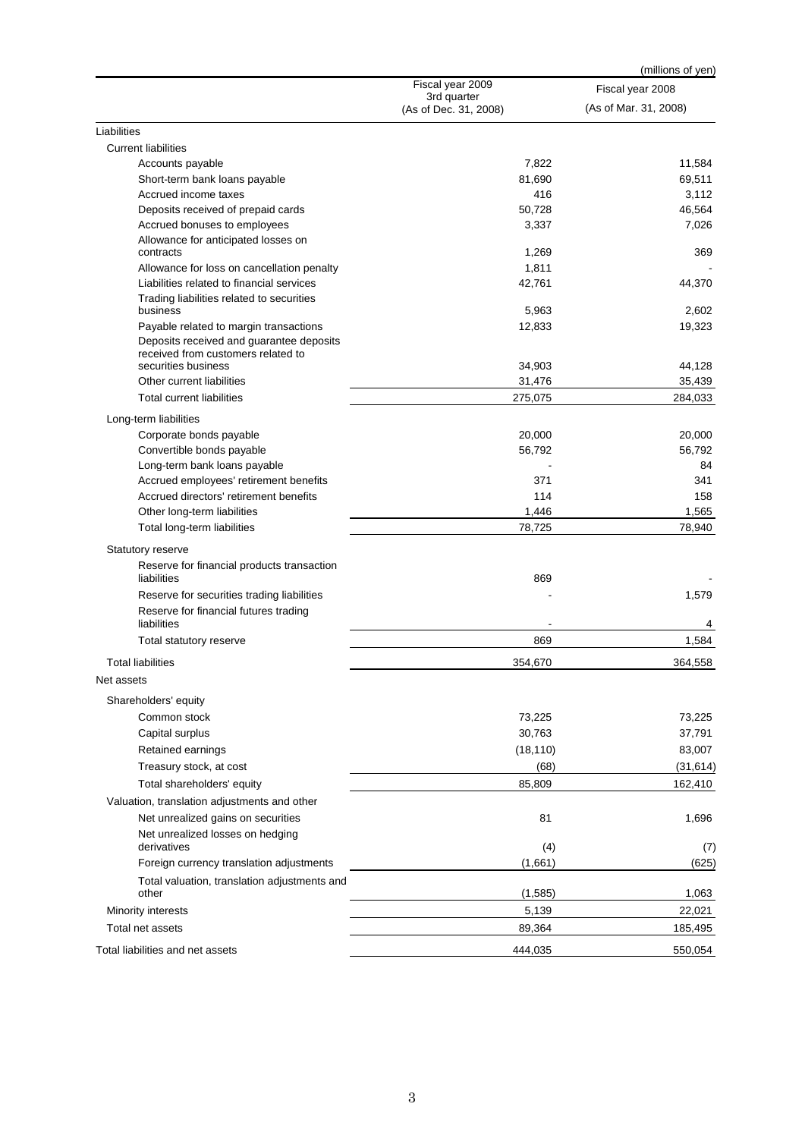|                                                       |                                      | (millions of yen)     |
|-------------------------------------------------------|--------------------------------------|-----------------------|
|                                                       | Fiscal year 2009                     | Fiscal year 2008      |
|                                                       | 3rd quarter<br>(As of Dec. 31, 2008) | (As of Mar. 31, 2008) |
| Liabilities                                           |                                      |                       |
| <b>Current liabilities</b>                            |                                      |                       |
| Accounts payable                                      | 7,822                                | 11,584                |
| Short-term bank loans payable                         | 81,690                               | 69,511                |
| Accrued income taxes                                  | 416                                  | 3,112                 |
| Deposits received of prepaid cards                    | 50,728                               | 46,564                |
| Accrued bonuses to employees                          | 3,337                                | 7,026                 |
| Allowance for anticipated losses on                   |                                      |                       |
| contracts                                             | 1,269                                | 369                   |
| Allowance for loss on cancellation penalty            | 1,811                                |                       |
| Liabilities related to financial services             | 42,761                               | 44,370                |
| Trading liabilities related to securities<br>business | 5,963                                | 2,602                 |
| Payable related to margin transactions                | 12,833                               | 19,323                |
| Deposits received and guarantee deposits              |                                      |                       |
| received from customers related to                    |                                      |                       |
| securities business                                   | 34,903                               | 44,128                |
| Other current liabilities                             | 31,476                               | 35,439                |
| <b>Total current liabilities</b>                      | 275,075                              | 284,033               |
| Long-term liabilities                                 |                                      |                       |
| Corporate bonds payable                               | 20,000                               | 20,000                |
| Convertible bonds payable                             | 56,792                               | 56,792                |
| Long-term bank loans payable                          |                                      | 84                    |
| Accrued employees' retirement benefits                | 371                                  | 341                   |
| Accrued directors' retirement benefits                | 114                                  | 158                   |
| Other long-term liabilities                           | 1,446                                | 1,565                 |
| Total long-term liabilities                           | 78,725                               | 78,940                |
| Statutory reserve                                     |                                      |                       |
| Reserve for financial products transaction            |                                      |                       |
| liabilities                                           | 869                                  |                       |
| Reserve for securities trading liabilities            |                                      | 1,579                 |
| Reserve for financial futures trading                 |                                      |                       |
| liabilities                                           |                                      | 4                     |
| Total statutory reserve                               | 869                                  | 1,584                 |
| Total liabilities                                     | 354.670                              | 364,558               |
| Net assets                                            |                                      |                       |
| Shareholders' equity                                  |                                      |                       |
| Common stock                                          | 73,225                               | 73,225                |
| Capital surplus                                       | 30,763                               | 37,791                |
| Retained earnings                                     | (18, 110)                            | 83,007                |
| Treasury stock, at cost                               | (68)                                 | (31, 614)             |
| Total shareholders' equity                            | 85,809                               | 162,410               |
| Valuation, translation adjustments and other          |                                      |                       |
| Net unrealized gains on securities                    | 81                                   | 1,696                 |
| Net unrealized losses on hedging                      |                                      |                       |
| derivatives                                           | (4)                                  | (7)                   |
| Foreign currency translation adjustments              | (1,661)                              | (625)                 |
| Total valuation, translation adjustments and          |                                      |                       |
| other                                                 | (1,585)                              | 1,063                 |
| Minority interests                                    | 5,139                                | 22,021                |
| Total net assets                                      | 89,364                               | 185,495               |
| Total liabilities and net assets                      | 444,035                              | 550,054               |
|                                                       |                                      |                       |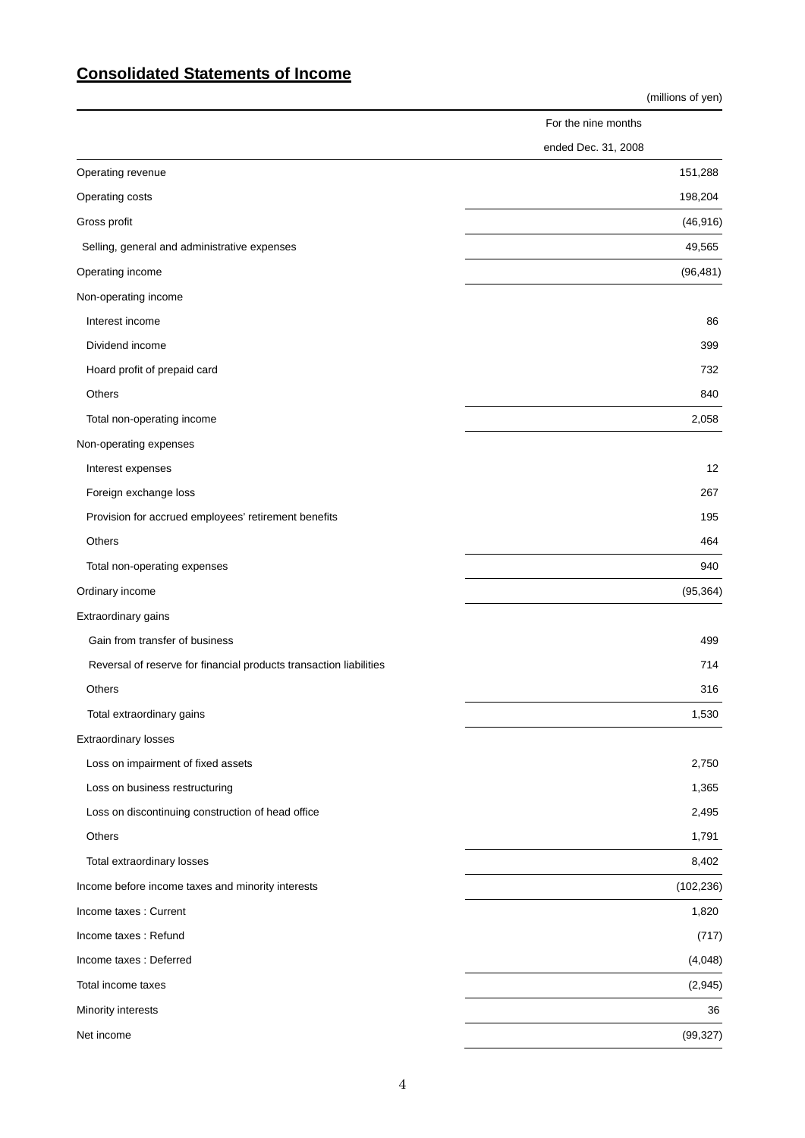## **Consolidated Statements of Income**

|                                                                    | (millions of yen)   |
|--------------------------------------------------------------------|---------------------|
|                                                                    | For the nine months |
|                                                                    | ended Dec. 31, 2008 |
| Operating revenue                                                  | 151,288             |
| Operating costs                                                    | 198,204             |
| Gross profit                                                       | (46, 916)           |
| Selling, general and administrative expenses                       | 49,565              |
| Operating income                                                   | (96, 481)           |
| Non-operating income                                               |                     |
| Interest income                                                    | 86                  |
| Dividend income                                                    | 399                 |
| Hoard profit of prepaid card                                       | 732                 |
| Others                                                             | 840                 |
| Total non-operating income                                         | 2,058               |
| Non-operating expenses                                             |                     |
| Interest expenses                                                  | 12                  |
| Foreign exchange loss                                              | 267                 |
| Provision for accrued employees' retirement benefits               | 195                 |
| Others                                                             | 464                 |
| Total non-operating expenses                                       | 940                 |
| Ordinary income                                                    | (95, 364)           |
| Extraordinary gains                                                |                     |
| Gain from transfer of business                                     | 499                 |
| Reversal of reserve for financial products transaction liabilities | 714                 |
| Others                                                             | 316                 |
| Total extraordinary gains                                          | 1,530               |
| Extraordinary losses                                               |                     |
| Loss on impairment of fixed assets                                 | 2,750               |
| Loss on business restructuring                                     | 1,365               |
| Loss on discontinuing construction of head office                  | 2,495               |
| Others                                                             | 1,791               |
| Total extraordinary losses                                         | 8,402               |
| Income before income taxes and minority interests                  | (102, 236)          |
| Income taxes : Current                                             | 1,820               |
| Income taxes: Refund                                               | (717)               |
| Income taxes : Deferred                                            | (4,048)             |
| Total income taxes                                                 | (2,945)             |
| Minority interests                                                 | 36                  |
| Net income                                                         | (99, 327)           |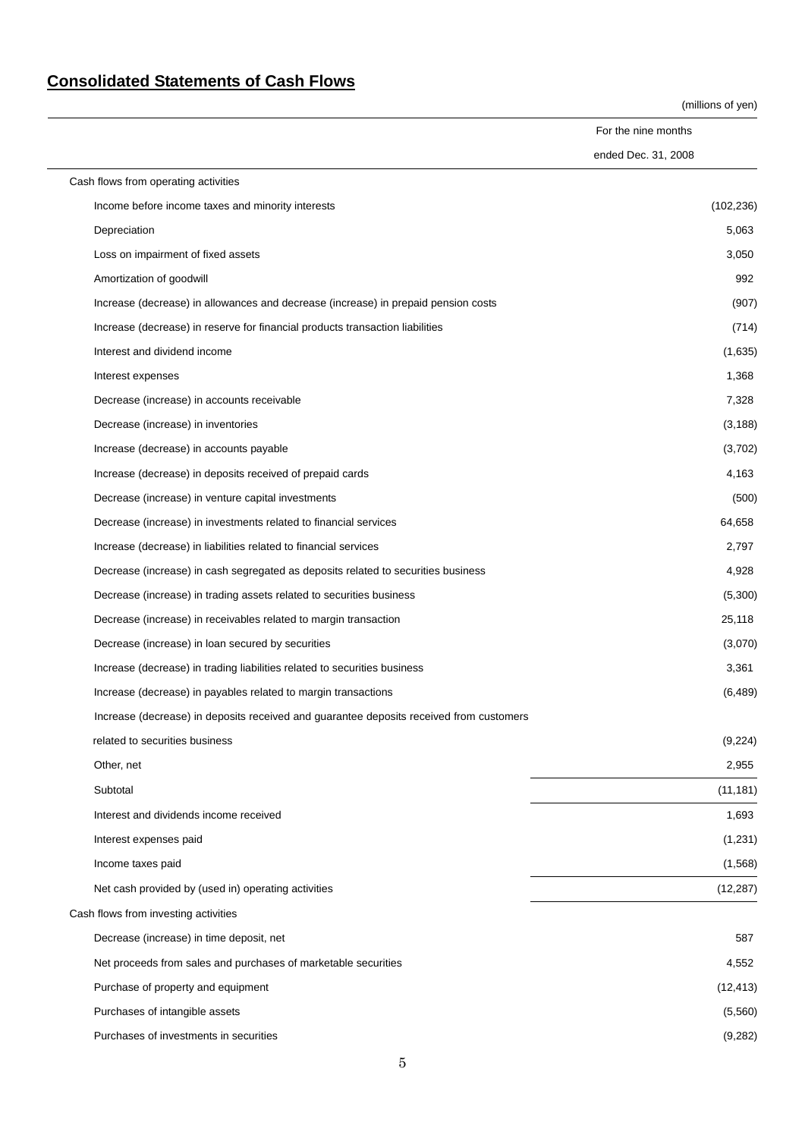# **Consolidated Statements of Cash Flows**

(millions of yen)

For the nine months ended Dec. 31, 2008

| Cash flows from operating activities                                                    |            |
|-----------------------------------------------------------------------------------------|------------|
| Income before income taxes and minority interests                                       | (102, 236) |
| Depreciation                                                                            | 5,063      |
| Loss on impairment of fixed assets                                                      | 3,050      |
| Amortization of goodwill                                                                | 992        |
| Increase (decrease) in allowances and decrease (increase) in prepaid pension costs      | (907)      |
| Increase (decrease) in reserve for financial products transaction liabilities           | (714)      |
| Interest and dividend income                                                            | (1,635)    |
| Interest expenses                                                                       | 1,368      |
| Decrease (increase) in accounts receivable                                              | 7,328      |
| Decrease (increase) in inventories                                                      | (3, 188)   |
| Increase (decrease) in accounts payable                                                 | (3,702)    |
| Increase (decrease) in deposits received of prepaid cards                               | 4,163      |
| Decrease (increase) in venture capital investments                                      | (500)      |
| Decrease (increase) in investments related to financial services                        | 64,658     |
| Increase (decrease) in liabilities related to financial services                        | 2,797      |
| Decrease (increase) in cash segregated as deposits related to securities business       | 4,928      |
| Decrease (increase) in trading assets related to securities business                    | (5,300)    |
| Decrease (increase) in receivables related to margin transaction                        | 25,118     |
| Decrease (increase) in loan secured by securities                                       | (3,070)    |
| Increase (decrease) in trading liabilities related to securities business               | 3,361      |
| Increase (decrease) in payables related to margin transactions                          | (6, 489)   |
| Increase (decrease) in deposits received and guarantee deposits received from customers |            |
| related to securities business                                                          | (9,224)    |
| Other, net                                                                              | 2,955      |
| Subtotal                                                                                | (11, 181)  |
| Interest and dividends income received                                                  | 1,693      |
| Interest expenses paid                                                                  | (1, 231)   |
| Income taxes paid                                                                       | (1, 568)   |
| Net cash provided by (used in) operating activities                                     | (12, 287)  |
| Cash flows from investing activities                                                    |            |
| Decrease (increase) in time deposit, net                                                | 587        |
| Net proceeds from sales and purchases of marketable securities                          | 4,552      |
| Purchase of property and equipment                                                      | (12, 413)  |
| Purchases of intangible assets                                                          | (5, 560)   |
| Purchases of investments in securities                                                  | (9,282)    |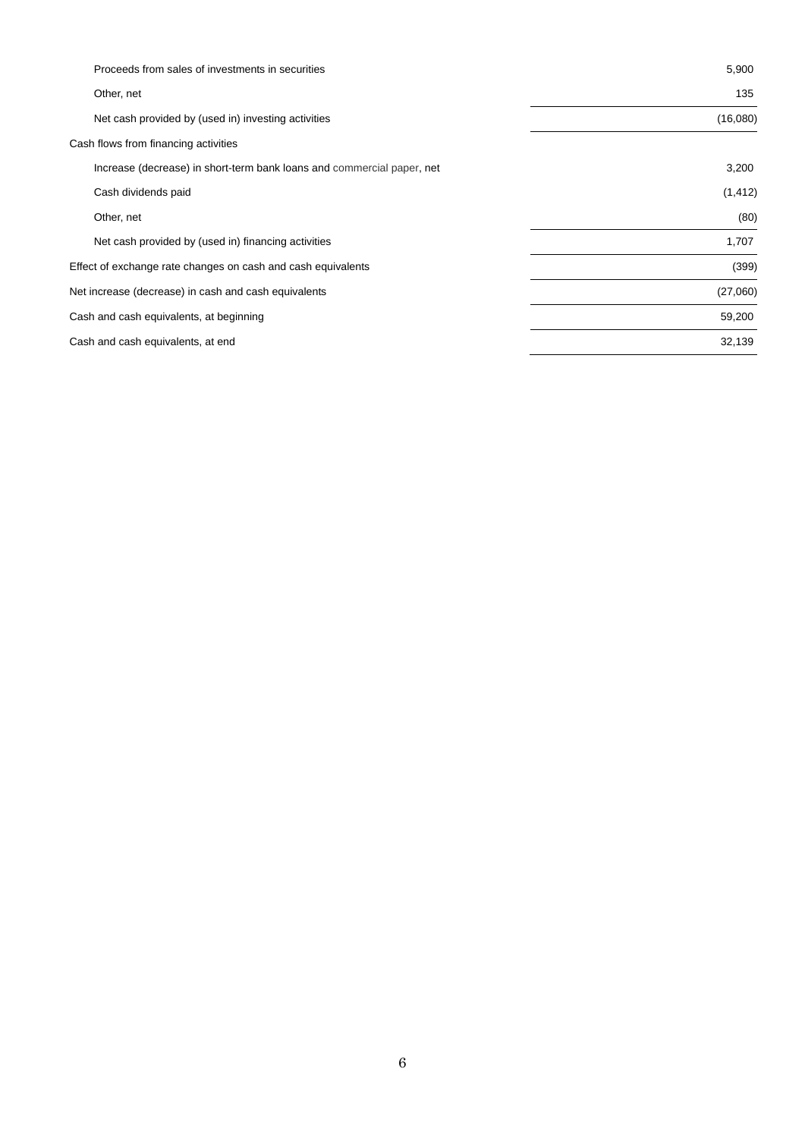| Proceeds from sales of investments in securities                       | 5,900    |
|------------------------------------------------------------------------|----------|
| Other, net                                                             | 135      |
| Net cash provided by (used in) investing activities                    | (16,080) |
| Cash flows from financing activities                                   |          |
| Increase (decrease) in short-term bank loans and commercial paper, net | 3,200    |
| Cash dividends paid                                                    | (1, 412) |
| Other, net                                                             | (80)     |
| Net cash provided by (used in) financing activities                    | 1,707    |
| Effect of exchange rate changes on cash and cash equivalents           | (399)    |
| Net increase (decrease) in cash and cash equivalents                   | (27,060) |
| Cash and cash equivalents, at beginning                                | 59,200   |
| Cash and cash equivalents, at end                                      | 32,139   |